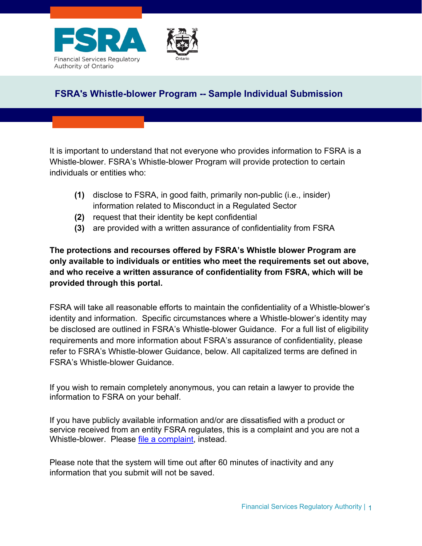



# **FSRA's Whistle-blower Program -- Sample Individual Submission**

It is important to understand that not everyone who provides information to FSRA is a Whistle-blower. FSRA's Whistle-blower Program will provide protection to certain individuals or entities who:

- **(1)** disclose to FSRA, in good faith, primarily non-public (i.e., insider) information related to Misconduct in a Regulated Sector
- **(2)** request that their identity be kept confidential
- **(3)** are provided with a written assurance of confidentiality from FSRA

**The protections and recourses offered by FSRA's Whistle blower Program are only available to individuals or entities who meet the requirements set out above, and who receive a written assurance of confidentiality from FSRA, which will be provided through this portal.**

FSRA will take all reasonable efforts to maintain the confidentiality of a Whistle-blower's identity and information. Specific circumstances where a Whistle-blower's identity may be disclosed are outlined in FSRA's Whistle-blower Guidance. For a full list of eligibility requirements and more information about FSRA's assurance of confidentiality, please refer to FSRA's Whistle-blower Guidance, below. All capitalized terms are defined in FSRA's Whistle-blower Guidance.

If you wish to remain completely anonymous, you can retain a lawyer to provide the information to FSRA on your behalf.

If you have publicly available information and/or are dissatisfied with a product or service received from an entity FSRA regulates, this is a complaint and you are not a Whistle-blower. Please [file a complaint,](https://www.fsrao.ca/submit-complaint-fsra) instead.

Please note that the system will time out after 60 minutes of inactivity and any information that you submit will not be saved.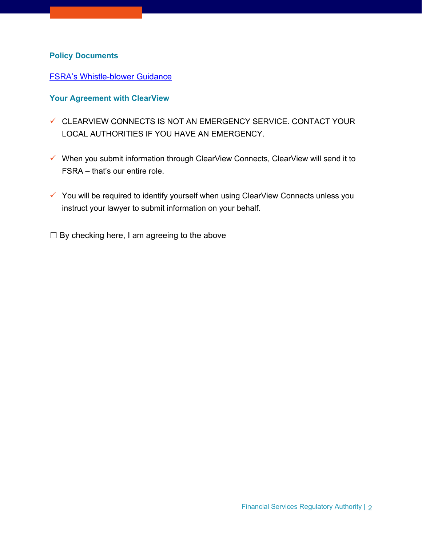### **Policy Documents**

#### [FSRA's Whistle-blower Guidance](https://www.fsrao.ca/media/9751/download)

#### **Your Agreement with ClearView**

- ✓ CLEARVIEW CONNECTS IS NOT AN EMERGENCY SERVICE. CONTACT YOUR LOCAL AUTHORITIES IF YOU HAVE AN EMERGENCY.
- ✓ When you submit information through ClearView Connects, ClearView will send it to FSRA – that's our entire role.
- ✓ You will be required to identify yourself when using ClearView Connects unless you instruct your lawyer to submit information on your behalf.
- $\Box$  By checking here, I am agreeing to the above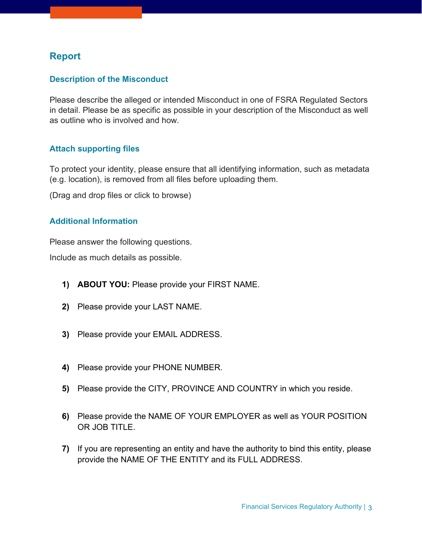# **Report**

## **Description of the Misconduct**

Please describe the alleged or intended Misconduct in one of FSRA Regulated Sectors in detail. Please be as specific as possible in your description of the Misconduct as well as outline who is involved and how.

### **Attach supporting files**

To protect your identity, please ensure that all identifying information, such as metadata (e.g. location), is removed from all files before uploading them.

(Drag and drop files or click to browse)

### **Additional Information**

Please answer the following questions.

Include as much details as possible.

- **1) ABOUT YOU:** Please provide your FIRST NAME.
- **2)** Please provide your LAST NAME.
- **3)** Please provide your EMAIL ADDRESS.
- **4)** Please provide your PHONE NUMBER.
- **5)** Please provide the CITY, PROVINCE AND COUNTRY in which you reside.
- **6)** Please provide the NAME OF YOUR EMPLOYER as well as YOUR POSITION OR JOB TITLE.
- **7)** If you are representing an entity and have the authority to bind this entity, please provide the NAME OF THE ENTITY and its FULL ADDRESS.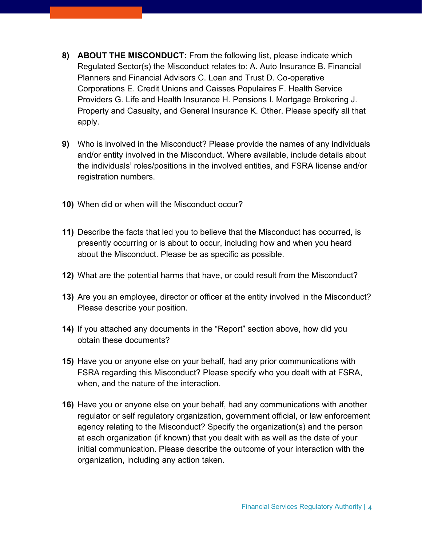- **8) ABOUT THE MISCONDUCT:** From the following list, please indicate which Regulated Sector(s) the Misconduct relates to: A. Auto Insurance B. Financial Planners and Financial Advisors C. Loan and Trust D. Co-operative Corporations E. Credit Unions and Caisses Populaires F. Health Service Providers G. Life and Health Insurance H. Pensions I. Mortgage Brokering J. Property and Casualty, and General Insurance K. Other. Please specify all that apply.
- **9)** Who is involved in the Misconduct? Please provide the names of any individuals and/or entity involved in the Misconduct. Where available, include details about the individuals' roles/positions in the involved entities, and FSRA license and/or registration numbers.
- **10)** When did or when will the Misconduct occur?
- **11)** Describe the facts that led you to believe that the Misconduct has occurred, is presently occurring or is about to occur, including how and when you heard about the Misconduct. Please be as specific as possible.
- **12)** What are the potential harms that have, or could result from the Misconduct?
- **13)** Are you an employee, director or officer at the entity involved in the Misconduct? Please describe your position.
- **14)** If you attached any documents in the "Report" section above, how did you obtain these documents?
- **15)** Have you or anyone else on your behalf, had any prior communications with FSRA regarding this Misconduct? Please specify who you dealt with at FSRA, when, and the nature of the interaction.
- **16)** Have you or anyone else on your behalf, had any communications with another regulator or self regulatory organization, government official, or law enforcement agency relating to the Misconduct? Specify the organization(s) and the person at each organization (if known) that you dealt with as well as the date of your initial communication. Please describe the outcome of your interaction with the organization, including any action taken.